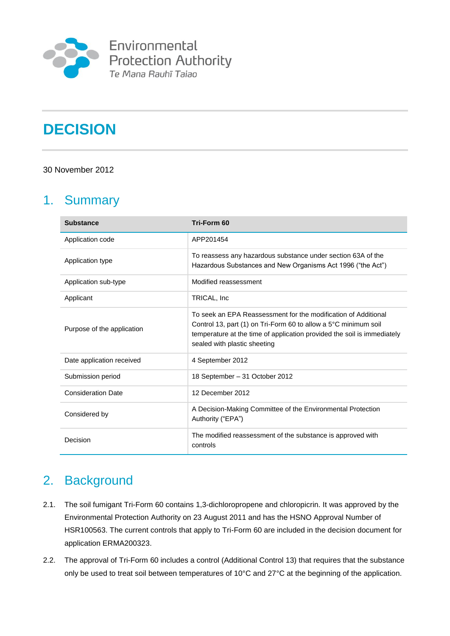

# **DECISION**

#### 30 November 2012

# 1. Summary

| <b>Substance</b>           | Tri-Form 60                                                                                                                                                                                                                                            |
|----------------------------|--------------------------------------------------------------------------------------------------------------------------------------------------------------------------------------------------------------------------------------------------------|
| Application code           | APP201454                                                                                                                                                                                                                                              |
| Application type           | To reassess any hazardous substance under section 63A of the<br>Hazardous Substances and New Organisms Act 1996 ("the Act")                                                                                                                            |
| Application sub-type       | Modified reassessment                                                                                                                                                                                                                                  |
| Applicant                  | TRICAL, Inc.                                                                                                                                                                                                                                           |
| Purpose of the application | To seek an EPA Reassessment for the modification of Additional<br>Control 13, part (1) on Tri-Form 60 to allow a $5^{\circ}$ C minimum soil<br>temperature at the time of application provided the soil is immediately<br>sealed with plastic sheeting |
| Date application received  | 4 September 2012                                                                                                                                                                                                                                       |
| Submission period          | 18 September - 31 October 2012                                                                                                                                                                                                                         |
| <b>Consideration Date</b>  | 12 December 2012                                                                                                                                                                                                                                       |
| Considered by              | A Decision-Making Committee of the Environmental Protection<br>Authority ("EPA")                                                                                                                                                                       |
| Decision                   | The modified reassessment of the substance is approved with<br>controls                                                                                                                                                                                |

# 2. Background

- 2.1. The soil fumigant Tri-Form 60 contains 1,3-dichloropropene and chloropicrin. It was approved by the Environmental Protection Authority on 23 August 2011 and has the HSNO Approval Number of HSR100563. The current controls that apply to Tri-Form 60 are included in the decision document for application ERMA200323.
- 2.2. The approval of Tri-Form 60 includes a control (Additional Control 13) that requires that the substance only be used to treat soil between temperatures of 10°C and 27°C at the beginning of the application.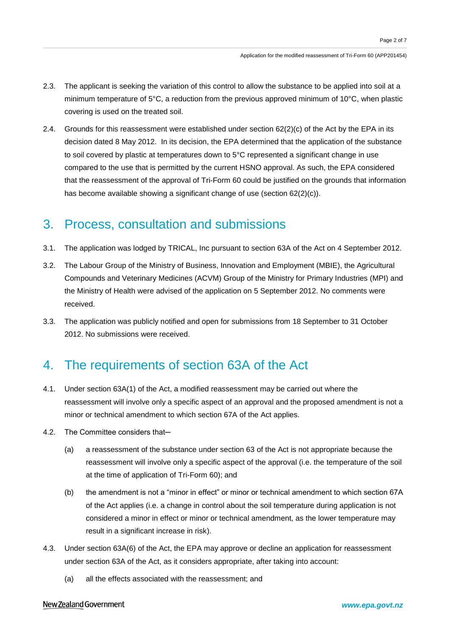- 2.3. The applicant is seeking the variation of this control to allow the substance to be applied into soil at a minimum temperature of 5°C, a reduction from the previous approved minimum of 10°C, when plastic covering is used on the treated soil.
- 2.4. Grounds for this reassessment were established under section  $62(2)(c)$  of the Act by the EPA in its decision dated 8 May 2012. In its decision, the EPA determined that the application of the substance to soil covered by plastic at temperatures down to  $5^{\circ}$ C represented a significant change in use compared to the use that is permitted by the current HSNO approval. As such, the EPA considered that the reassessment of the approval of Tri-Form 60 could be justified on the grounds that information has become available showing a significant change of use (section 62(2)(c)).

### 3. Process, consultation and submissions

- 3.1. The application was lodged by TRICAL, Inc pursuant to section 63A of the Act on 4 September 2012.
- 3.2. The Labour Group of the Ministry of Business, Innovation and Employment (MBIE), the Agricultural Compounds and Veterinary Medicines (ACVM) Group of the Ministry for Primary Industries (MPI) and the Ministry of Health were advised of the application on 5 September 2012. No comments were received.
- 3.3. The application was publicly notified and open for submissions from 18 September to 31 October 2012. No submissions were received.

### 4. The requirements of section 63A of the Act

- 4.1. Under section 63A(1) of the Act, a modified reassessment may be carried out where the reassessment will involve only a specific aspect of an approval and the proposed amendment is not a minor or technical amendment to which section 67A of the Act applies.
- 4.2. The Committee considers that-
	- (a) a reassessment of the substance under section 63 of the Act is not appropriate because the reassessment will involve only a specific aspect of the approval (i.e. the temperature of the soil at the time of application of Tri-Form 60); and
	- (b) the amendment is not a "minor in effect" or minor or technical amendment to which section 67A of the Act applies (i.e. a change in control about the soil temperature during application is not considered a minor in effect or minor or technical amendment, as the lower temperature may result in a significant increase in risk).
- 4.3. Under section 63A(6) of the Act, the EPA may approve or decline an application for reassessment under section 63A of the Act, as it considers appropriate, after taking into account:
	- (a) all the effects associated with the reassessment; and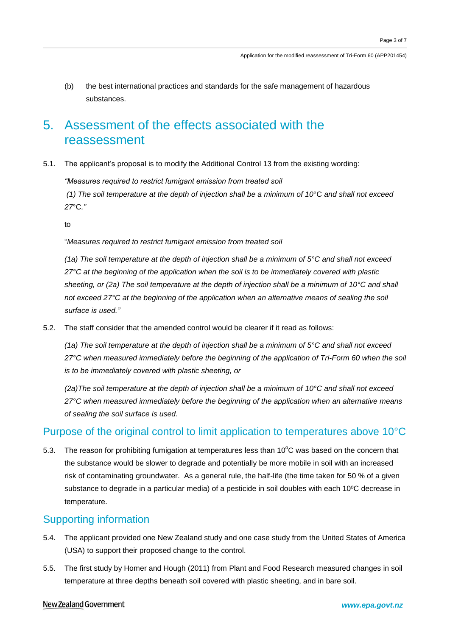(b) the best international practices and standards for the safe management of hazardous substances.

### 5. Assessment of the effects associated with the reassessment

5.1. The applicant's proposal is to modify the Additional Control 13 from the existing wording:

*"Measures required to restrict fumigant emission from treated soil (1) The soil temperature at the depth of injection shall be a minimum of 10*°C *and shall not exceed 27*°C*."* 

to

―*Measures required to restrict fumigant emission from treated soil* 

*(1a) The soil temperature at the depth of injection shall be a minimum of 5°C and shall not exceed 27°C at the beginning of the application when the soil is to be immediately covered with plastic sheeting, or (2a) The soil temperature at the depth of injection shall be a minimum of 10°C and shall not exceed 27°C at the beginning of the application when an alternative means of sealing the soil surface is used."*

5.2. The staff consider that the amended control would be clearer if it read as follows:

*(1a) The soil temperature at the depth of injection shall be a minimum of 5°C and shall not exceed 27°C when measured immediately before the beginning of the application of Tri-Form 60 when the soil is to be immediately covered with plastic sheeting, or* 

*(2a)The soil temperature at the depth of injection shall be a minimum of 10°C and shall not exceed 27°C when measured immediately before the beginning of the application when an alternative means of sealing the soil surface is used.*

#### Purpose of the original control to limit application to temperatures above 10°C

5.3. The reason for prohibiting fumigation at temperatures less than  $10^{\circ}$ C was based on the concern that the substance would be slower to degrade and potentially be more mobile in soil with an increased risk of contaminating groundwater. As a general rule, the half-life (the time taken for 50 % of a given substance to degrade in a particular media) of a pesticide in soil doubles with each 10ºC decrease in temperature.

#### Supporting information

- 5.4. The applicant provided one New Zealand study and one case study from the United States of America (USA) to support their proposed change to the control.
- 5.5. The first study by Homer and Hough (2011) from Plant and Food Research measured changes in soil temperature at three depths beneath soil covered with plastic sheeting, and in bare soil.

#### New Zealand Government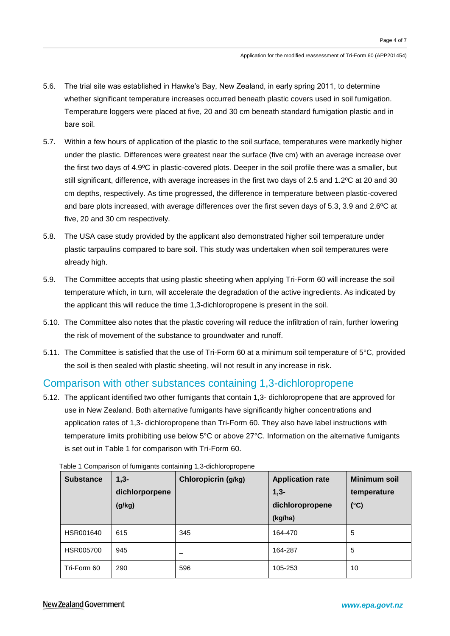- 5.6. The trial site was established in Hawke's Bay, New Zealand, in early spring 2011, to determine whether significant temperature increases occurred beneath plastic covers used in soil fumigation. Temperature loggers were placed at five, 20 and 30 cm beneath standard fumigation plastic and in bare soil.
- 5.7. Within a few hours of application of the plastic to the soil surface, temperatures were markedly higher under the plastic. Differences were greatest near the surface (five cm) with an average increase over the first two days of 4.9ºC in plastic-covered plots. Deeper in the soil profile there was a smaller, but still significant, difference, with average increases in the first two days of 2.5 and 1.2ºC at 20 and 30 cm depths, respectively. As time progressed, the difference in temperature between plastic-covered and bare plots increased, with average differences over the first seven days of 5.3, 3.9 and 2.6ºC at five, 20 and 30 cm respectively.
- 5.8. The USA case study provided by the applicant also demonstrated higher soil temperature under plastic tarpaulins compared to bare soil. This study was undertaken when soil temperatures were already high.
- 5.9. The Committee accepts that using plastic sheeting when applying Tri-Form 60 will increase the soil temperature which, in turn, will accelerate the degradation of the active ingredients. As indicated by the applicant this will reduce the time 1,3-dichloropropene is present in the soil.
- 5.10. The Committee also notes that the plastic covering will reduce the infiltration of rain, further lowering the risk of movement of the substance to groundwater and runoff.
- 5.11. The Committee is satisfied that the use of Tri-Form 60 at a minimum soil temperature of 5°C, provided the soil is then sealed with plastic sheeting, will not result in any increase in risk.

#### Comparison with other substances containing 1,3-dichloropropene

5.12. The applicant identified two other fumigants that contain 1,3- dichloropropene that are approved for use in New Zealand. Both alternative fumigants have significantly higher concentrations and application rates of 1,3- dichloropropene than Tri-Form 60. They also have label instructions with temperature limits prohibiting use below 5°C or above 27°C. Information on the alternative fumigants is set out in Table 1 for comparison with Tri-Form 60.

| <b>Substance</b> | $1,3-$<br>dichlorporpene<br>(g/kg) | Chloropicrin (g/kg) | <b>Application rate</b><br>$1,3-$<br>dichloropropene<br>(kg/ha) | <b>Minimum soil</b><br>temperature<br>(°C) |
|------------------|------------------------------------|---------------------|-----------------------------------------------------------------|--------------------------------------------|
| HSR001640        | 615                                | 345                 | 164-470                                                         | 5                                          |
| HSR005700        | 945                                |                     | 164-287                                                         | 5                                          |
| Tri-Form 60      | 290                                | 596                 | 105-253                                                         | 10                                         |

Table 1 Comparison of fumigants containing 1,3-dichloropropene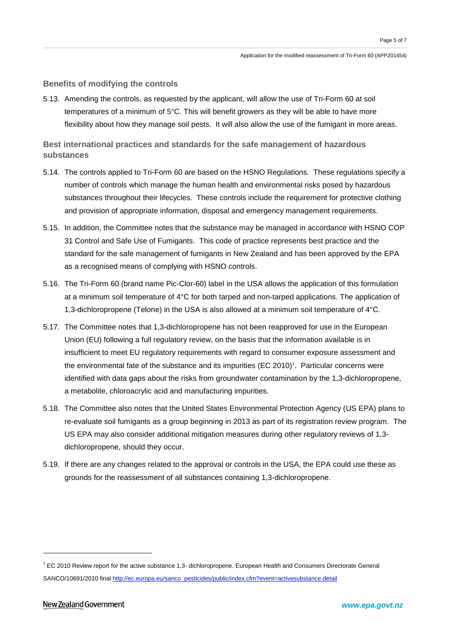#### **Benefits of modifying the controls**

5.13. Amending the controls, as requested by the applicant, will allow the use of Tri-Form 60 at soil temperatures of a minimum of 5°C. This will benefit growers as they will be able to have more flexibility about how they manage soil pests. It will also allow the use of the fumigant in more areas.

**Best international practices and standards for the safe management of hazardous substances**

- 5.14. The controls applied to Tri-Form 60 are based on the HSNO Regulations. These regulations specify a number of controls which manage the human health and environmental risks posed by hazardous substances throughout their lifecycles. These controls include the requirement for protective clothing and provision of appropriate information, disposal and emergency management requirements.
- 5.15. In addition, the Committee notes that the substance may be managed in accordance with HSNO COP 31 Control and Safe Use of Fumigants. This code of practice represents best practice and the standard for the safe management of fumigants in New Zealand and has been approved by the EPA as a recognised means of complying with HSNO controls.
- 5.16. The Tri-Form 60 (brand name Pic-Clor-60) label in the USA allows the application of this formulation at a minimum soil temperature of 4°C for both tarped and non-tarped applications. The application of 1,3-dichloropropene (Telone) in the USA is also allowed at a minimum soil temperature of 4°C.
- 5.17. The Committee notes that 1,3-dichloropropene has not been reapproved for use in the European Union (EU) following a full regulatory review, on the basis that the information available is in insufficient to meet EU regulatory requirements with regard to consumer exposure assessment and the environmental fate of the substance and its impurities (EC 2010)<sup>1</sup>. Particular concerns were identified with data gaps about the risks from groundwater contamination by the 1,3-dichloropropene, a metabolite, chloroacrylic acid and manufacturing impurities.
- 5.18. The Committee also notes that the United States Environmental Protection Agency (US EPA) plans to re-evaluate soil fumigants as a group beginning in 2013 as part of its registration review program. The US EPA may also consider additional mitigation measures during other regulatory reviews of 1,3 dichloropropene, should they occur.
- 5.19. If there are any changes related to the approval or controls in the USA, the EPA could use these as grounds for the reassessment of all substances containing 1,3-dichloropropene.

1

<sup>1</sup> EC 2010 Review report for the active substance 1,3- dichloropropene. European Health and Consumers Directorate General SANCO/10691/2010 final [http://ec.europa.eu/sanco\\_pesticides/public/index.cfm?event=activesubstance.detail](http://ec.europa.eu/sanco_pesticides/public/index.cfm?event=activesubstance.detail)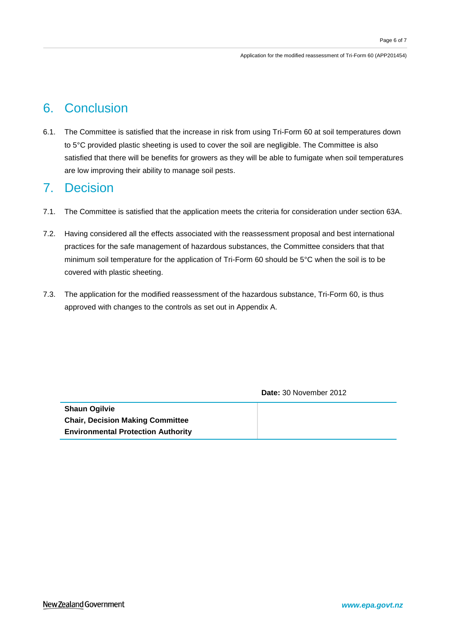#### Application for the modified reassessment of Tri-Form 60 (APP201454)

# 6. Conclusion

6.1. The Committee is satisfied that the increase in risk from using Tri-Form 60 at soil temperatures down to 5°C provided plastic sheeting is used to cover the soil are negligible. The Committee is also satisfied that there will be benefits for growers as they will be able to fumigate when soil temperatures are low improving their ability to manage soil pests.

### 7. Decision

- 7.1. The Committee is satisfied that the application meets the criteria for consideration under section 63A.
- 7.2. Having considered all the effects associated with the reassessment proposal and best international practices for the safe management of hazardous substances, the Committee considers that that minimum soil temperature for the application of Tri-Form 60 should be 5°C when the soil is to be covered with plastic sheeting.
- 7.3. The application for the modified reassessment of the hazardous substance, Tri-Form 60, is thus approved with changes to the controls as set out in Appendix A.

**Date:** 30 November 2012

**Shaun Ogilvie Chair, Decision Making Committee Environmental Protection Authority**